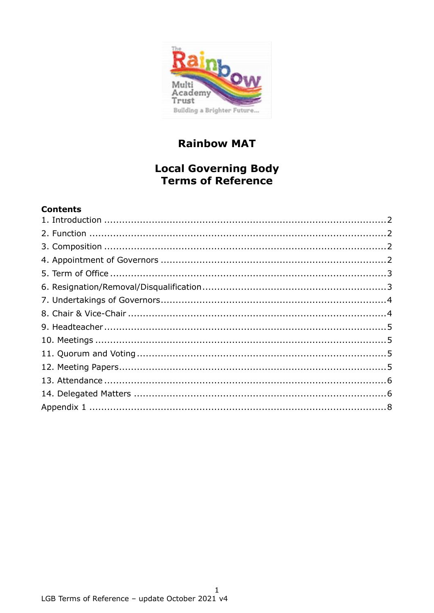

# **Rainbow MAT**

## **Local Governing Body** Terms of Reference

## **Contents**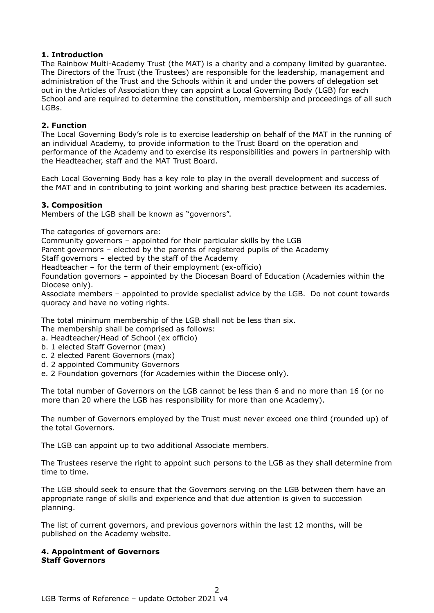#### <span id="page-1-0"></span>**1. Introduction**

The Rainbow Multi-Academy Trust (the MAT) is a charity and a company limited by guarantee. The Directors of the Trust (the Trustees) are responsible for the leadership, management and administration of the Trust and the Schools within it and under the powers of delegation set out in the Articles of Association they can appoint a Local Governing Body (LGB) for each School and are required to determine the constitution, membership and proceedings of all such LGBs.

#### <span id="page-1-1"></span>**2. Function**

The Local Governing Body's role is to exercise leadership on behalf of the MAT in the running of an individual Academy, to provide information to the Trust Board on the operation and performance of the Academy and to exercise its responsibilities and powers in partnership with the Headteacher, staff and the MAT Trust Board.

Each Local Governing Body has a key role to play in the overall development and success of the MAT and in contributing to joint working and sharing best practice between its academies.

#### <span id="page-1-2"></span>**3. Composition**

Members of the LGB shall be known as "governors".

The categories of governors are:

Community governors – appointed for their particular skills by the LGB

Parent governors – elected by the parents of registered pupils of the Academy

Staff governors – elected by the staff of the Academy

Headteacher – for the term of their employment (ex-officio)

Foundation governors – appointed by the Diocesan Board of Education (Academies within the Diocese only).

Associate members – appointed to provide specialist advice by the LGB. Do not count towards quoracy and have no voting rights.

The total minimum membership of the LGB shall not be less than six.

The membership shall be comprised as follows:

a. Headteacher/Head of School (ex officio)

- b. 1 elected Staff Governor (max)
- c. 2 elected Parent Governors (max)
- d. 2 appointed Community Governors
- e. 2 Foundation governors (for Academies within the Diocese only).

The total number of Governors on the LGB cannot be less than 6 and no more than 16 (or no more than 20 where the LGB has responsibility for more than one Academy).

The number of Governors employed by the Trust must never exceed one third (rounded up) of the total Governors.

The LGB can appoint up to two additional Associate members.

The Trustees reserve the right to appoint such persons to the LGB as they shall determine from time to time.

The LGB should seek to ensure that the Governors serving on the LGB between them have an appropriate range of skills and experience and that due attention is given to succession planning.

The list of current governors, and previous governors within the last 12 months, will be published on the Academy website.

#### <span id="page-1-3"></span>**4. Appointment of Governors Staff Governors**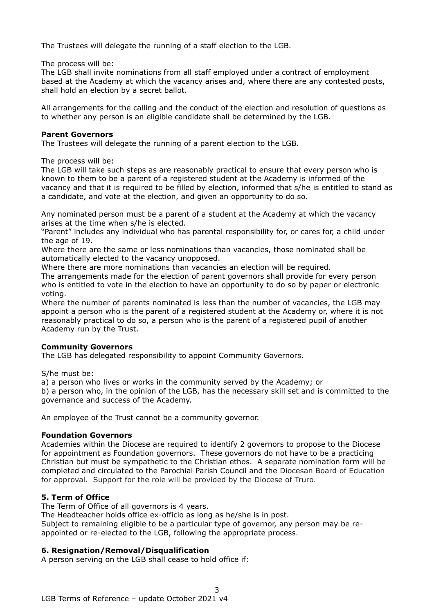The Trustees will delegate the running of a staff election to the LGB.

The process will be:

The LGB shall invite nominations from all staff employed under a contract of employment based at the Academy at which the vacancy arises and, where there are any contested posts, shall hold an election by a secret ballot.

All arrangements for the calling and the conduct of the election and resolution of questions as to whether any person is an eligible candidate shall be determined by the LGB.

#### **Parent Governors**

The Trustees will delegate the running of a parent election to the LGB.

The process will be:

The LGB will take such steps as are reasonably practical to ensure that every person who is known to them to be a parent of a registered student at the Academy is informed of the vacancy and that it is required to be filled by election, informed that s/he is entitled to stand as a candidate, and vote at the election, and given an opportunity to do so.

Any nominated person must be a parent of a student at the Academy at which the vacancy arises at the time when s/he is elected.

"Parent" includes any individual who has parental responsibility for, or cares for, a child under the age of 19.

Where there are the same or less nominations than vacancies, those nominated shall be automatically elected to the vacancy unopposed.

Where there are more nominations than vacancies an election will be required.

The arrangements made for the election of parent governors shall provide for every person who is entitled to vote in the election to have an opportunity to do so by paper or electronic voting.

Where the number of parents nominated is less than the number of vacancies, the LGB may appoint a person who is the parent of a registered student at the Academy or, where it is not reasonably practical to do so, a person who is the parent of a registered pupil of another Academy run by the Trust.

## **Community Governors**

The LGB has delegated responsibility to appoint Community Governors.

S/he must be:

a) a person who lives or works in the community served by the Academy; or

b) a person who, in the opinion of the LGB, has the necessary skill set and is committed to the governance and success of the Academy.

An employee of the Trust cannot be a community governor.

## **Foundation Governors**

Academies within the Diocese are required to identify 2 governors to propose to the Diocese for appointment as Foundation governors. These governors do not have to be a practicing Christian but must be sympathetic to the Christian ethos. A separate nomination form will be completed and circulated to the Parochial Parish Council and the Diocesan Board of Education for approval. Support for the role will be provided by the Diocese of Truro.

## <span id="page-2-0"></span>**5. Term of Office**

The Term of Office of all governors is 4 years.

The Headteacher holds office ex-officio as long as he/she is in post.

Subject to remaining eligible to be a particular type of governor, any person may be reappointed or re-elected to the LGB, following the appropriate process.

## <span id="page-2-1"></span>**6. Resignation/Removal/Disqualification**

A person serving on the LGB shall cease to hold office if: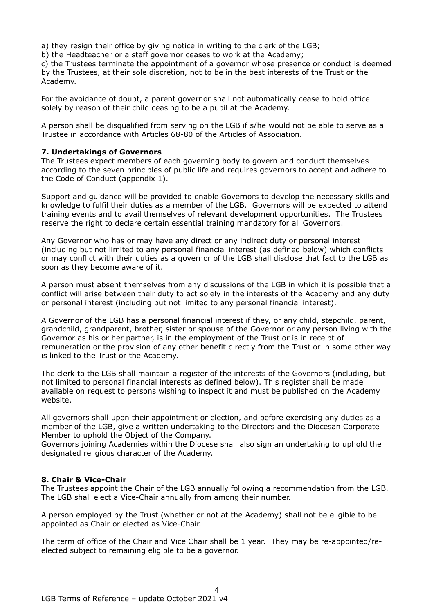a) they resign their office by giving notice in writing to the clerk of the LGB;

b) the Headteacher or a staff governor ceases to work at the Academy;

c) the Trustees terminate the appointment of a governor whose presence or conduct is deemed by the Trustees, at their sole discretion, not to be in the best interests of the Trust or the Academy.

For the avoidance of doubt, a parent governor shall not automatically cease to hold office solely by reason of their child ceasing to be a pupil at the Academy.

A person shall be disqualified from serving on the LGB if s/he would not be able to serve as a Trustee in accordance with Articles 68-80 of the Articles of Association.

#### <span id="page-3-0"></span>**7. Undertakings of Governors**

The Trustees expect members of each governing body to govern and conduct themselves according to the seven principles of public life and requires governors to accept and adhere to the Code of Conduct (appendix 1).

Support and guidance will be provided to enable Governors to develop the necessary skills and knowledge to fulfil their duties as a member of the LGB. Governors will be expected to attend training events and to avail themselves of relevant development opportunities. The Trustees reserve the right to declare certain essential training mandatory for all Governors.

Any Governor who has or may have any direct or any indirect duty or personal interest (including but not limited to any personal financial interest (as defined below) which conflicts or may conflict with their duties as a governor of the LGB shall disclose that fact to the LGB as soon as they become aware of it.

A person must absent themselves from any discussions of the LGB in which it is possible that a conflict will arise between their duty to act solely in the interests of the Academy and any duty or personal interest (including but not limited to any personal financial interest).

A Governor of the LGB has a personal financial interest if they, or any child, stepchild, parent, grandchild, grandparent, brother, sister or spouse of the Governor or any person living with the Governor as his or her partner, is in the employment of the Trust or is in receipt of remuneration or the provision of any other benefit directly from the Trust or in some other way is linked to the Trust or the Academy.

The clerk to the LGB shall maintain a register of the interests of the Governors (including, but not limited to personal financial interests as defined below). This register shall be made available on request to persons wishing to inspect it and must be published on the Academy website.

All governors shall upon their appointment or election, and before exercising any duties as a member of the LGB, give a written undertaking to the Directors and the Diocesan Corporate Member to uphold the Object of the Company.

Governors joining Academies within the Diocese shall also sign an undertaking to uphold the designated religious character of the Academy.

#### <span id="page-3-1"></span>**8. Chair & Vice-Chair**

The Trustees appoint the Chair of the LGB annually following a recommendation from the LGB. The LGB shall elect a Vice-Chair annually from among their number.

A person employed by the Trust (whether or not at the Academy) shall not be eligible to be appointed as Chair or elected as Vice-Chair.

The term of office of the Chair and Vice Chair shall be 1 year. They may be re-appointed/reelected subject to remaining eligible to be a governor.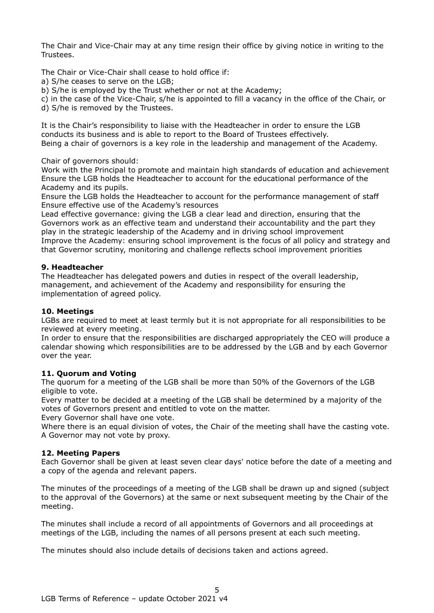The Chair and Vice-Chair may at any time resign their office by giving notice in writing to the Trustees.

The Chair or Vice-Chair shall cease to hold office if:

a) S/he ceases to serve on the LGB;

b) S/he is employed by the Trust whether or not at the Academy;

c) in the case of the Vice-Chair, s/he is appointed to fill a vacancy in the office of the Chair, or

d) S/he is removed by the Trustees.

It is the Chair's responsibility to liaise with the Headteacher in order to ensure the LGB conducts its business and is able to report to the Board of Trustees effectively. Being a chair of governors is a key role in the leadership and management of the Academy.

Chair of governors should:

Work with the Principal to promote and maintain high standards of education and achievement Ensure the LGB holds the Headteacher to account for the educational performance of the Academy and its pupils.

Ensure the LGB holds the Headteacher to account for the performance management of staff Ensure effective use of the Academy's resources

Lead effective governance: giving the LGB a clear lead and direction, ensuring that the Governors work as an effective team and understand their accountability and the part they play in the strategic leadership of the Academy and in driving school improvement Improve the Academy: ensuring school improvement is the focus of all policy and strategy and that Governor scrutiny, monitoring and challenge reflects school improvement priorities

#### <span id="page-4-0"></span>**9. Headteacher**

The Headteacher has delegated powers and duties in respect of the overall leadership, management, and achievement of the Academy and responsibility for ensuring the implementation of agreed policy.

## <span id="page-4-1"></span>**10. Meetings**

LGBs are required to meet at least termly but it is not appropriate for all responsibilities to be reviewed at every meeting.

In order to ensure that the responsibilities are discharged appropriately the CEO will produce a calendar showing which responsibilities are to be addressed by the LGB and by each Governor over the year.

#### <span id="page-4-2"></span>**11. Quorum and Voting**

The quorum for a meeting of the LGB shall be more than 50% of the Governors of the LGB eligible to vote.

Every matter to be decided at a meeting of the LGB shall be determined by a majority of the votes of Governors present and entitled to vote on the matter.

Every Governor shall have one vote.

Where there is an equal division of votes, the Chair of the meeting shall have the casting vote. A Governor may not vote by proxy.

## <span id="page-4-3"></span>**12. Meeting Papers**

Each Governor shall be given at least seven clear days' notice before the date of a meeting and a copy of the agenda and relevant papers.

The minutes of the proceedings of a meeting of the LGB shall be drawn up and signed (subject to the approval of the Governors) at the same or next subsequent meeting by the Chair of the meeting.

The minutes shall include a record of all appointments of Governors and all proceedings at meetings of the LGB, including the names of all persons present at each such meeting.

The minutes should also include details of decisions taken and actions agreed.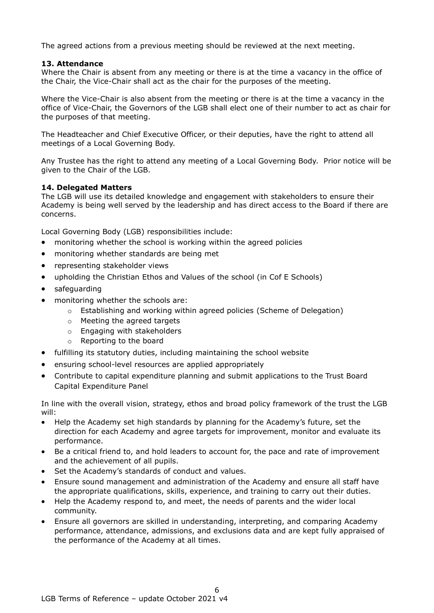The agreed actions from a previous meeting should be reviewed at the next meeting.

#### <span id="page-5-0"></span>**13. Attendance**

Where the Chair is absent from any meeting or there is at the time a vacancy in the office of the Chair, the Vice-Chair shall act as the chair for the purposes of the meeting.

Where the Vice-Chair is also absent from the meeting or there is at the time a vacancy in the office of Vice-Chair, the Governors of the LGB shall elect one of their number to act as chair for the purposes of that meeting.

The Headteacher and Chief Executive Officer, or their deputies, have the right to attend all meetings of a Local Governing Body.

Any Trustee has the right to attend any meeting of a Local Governing Body. Prior notice will be given to the Chair of the LGB.

#### <span id="page-5-1"></span>**14. Delegated Matters**

The LGB will use its detailed knowledge and engagement with stakeholders to ensure their Academy is being well served by the leadership and has direct access to the Board if there are concerns.

Local Governing Body (LGB) responsibilities include:

- monitoring whether the school is working within the agreed policies
- monitoring whether standards are being met
- representing stakeholder views
- upholding the Christian Ethos and Values of the school (in Cof E Schools)
- safeguarding
- monitoring whether the schools are:
	- $\circ$  Establishing and working within agreed policies (Scheme of Delegation)
	- o Meeting the agreed targets
	- o Engaging with stakeholders
	- o Reporting to the board
- fulfilling its statutory duties, including maintaining the school website
- ensuring school-level resources are applied appropriately
- Contribute to capital expenditure planning and submit applications to the Trust Board Capital Expenditure Panel

In line with the overall vision, strategy, ethos and broad policy framework of the trust the LGB will:

- Help the Academy set high standards by planning for the Academy's future, set the direction for each Academy and agree targets for improvement, monitor and evaluate its performance.
- Be a critical friend to, and hold leaders to account for, the pace and rate of improvement and the achievement of all pupils.
- Set the Academy's standards of conduct and values.
- Ensure sound management and administration of the Academy and ensure all staff have the appropriate qualifications, skills, experience, and training to carry out their duties.
- Help the Academy respond to, and meet, the needs of parents and the wider local community.
- Ensure all governors are skilled in understanding, interpreting, and comparing Academy performance, attendance, admissions, and exclusions data and are kept fully appraised of the performance of the Academy at all times.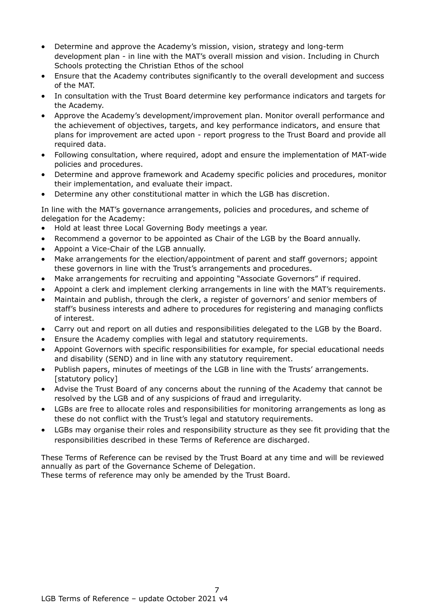- Determine and approve the Academy's mission, vision, strategy and long-term development plan - in line with the MAT's overall mission and vision. Including in Church Schools protecting the Christian Ethos of the school
- Ensure that the Academy contributes significantly to the overall development and success of the MAT.
- In consultation with the Trust Board determine key performance indicators and targets for the Academy.
- Approve the Academy's development/improvement plan. Monitor overall performance and the achievement of objectives, targets, and key performance indicators, and ensure that plans for improvement are acted upon - report progress to the Trust Board and provide all required data.
- Following consultation, where required, adopt and ensure the implementation of MAT-wide policies and procedures.
- Determine and approve framework and Academy specific policies and procedures, monitor their implementation, and evaluate their impact.
- Determine any other constitutional matter in which the LGB has discretion.

In line with the MAT's governance arrangements, policies and procedures, and scheme of delegation for the Academy:

- Hold at least three Local Governing Body meetings a year.
- Recommend a governor to be appointed as Chair of the LGB by the Board annually.
- Appoint a Vice-Chair of the LGB annually.
- Make arrangements for the election/appointment of parent and staff governors; appoint these governors in line with the Trust's arrangements and procedures.
- Make arrangements for recruiting and appointing "Associate Governors" if required.
- Appoint a clerk and implement clerking arrangements in line with the MAT's requirements.
- Maintain and publish, through the clerk, a register of governors' and senior members of staff's business interests and adhere to procedures for registering and managing conflicts of interest.
- Carry out and report on all duties and responsibilities delegated to the LGB by the Board.
- Ensure the Academy complies with legal and statutory requirements.
- Appoint Governors with specific responsibilities for example, for special educational needs and disability (SEND) and in line with any statutory requirement.
- Publish papers, minutes of meetings of the LGB in line with the Trusts' arrangements. [statutory policy]
- Advise the Trust Board of any concerns about the running of the Academy that cannot be resolved by the LGB and of any suspicions of fraud and irregularity.
- LGBs are free to allocate roles and responsibilities for monitoring arrangements as long as these do not conflict with the Trust's legal and statutory requirements.
- LGBs may organise their roles and responsibility structure as they see fit providing that the responsibilities described in these Terms of Reference are discharged.

These Terms of Reference can be revised by the Trust Board at any time and will be reviewed annually as part of the Governance Scheme of Delegation.

These terms of reference may only be amended by the Trust Board.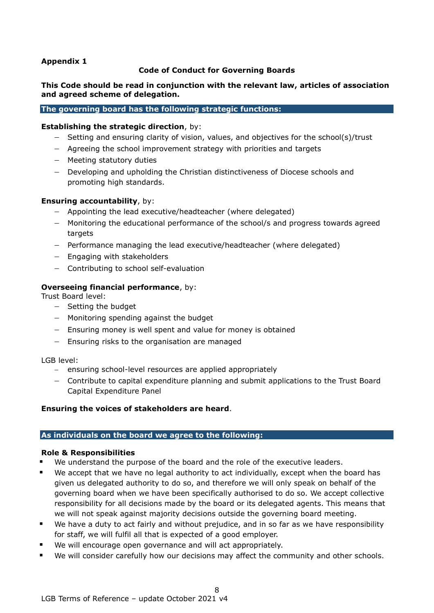## <span id="page-7-0"></span>**Appendix 1**

#### **Code of Conduct for Governing Boards**

## **This Code should be read in conjunction with the relevant law, articles of association and agreed scheme of delegation.**

#### **The governing board has the following strategic functions:**

#### **Establishing the strategic direction**, by:

- − Setting and ensuring clarity of vision, values, and objectives for the school(s)/trust
- − Agreeing the school improvement strategy with priorities and targets
- − Meeting statutory duties
- − Developing and upholding the Christian distinctiveness of Diocese schools and promoting high standards.

#### **Ensuring accountability**, by:

- − Appointing the lead executive/headteacher (where delegated)
- − Monitoring the educational performance of the school/s and progress towards agreed targets
- − Performance managing the lead executive/headteacher (where delegated)
- − Engaging with stakeholders
- − Contributing to school self-evaluation

#### **Overseeing financial performance**, by:

Trust Board level:

- − Setting the budget
- − Monitoring spending against the budget
- − Ensuring money is well spent and value for money is obtained
- − Ensuring risks to the organisation are managed

#### LGB level:

- − ensuring school-level resources are applied appropriately
- − Contribute to capital expenditure planning and submit applications to the Trust Board Capital Expenditure Panel

#### **Ensuring the voices of stakeholders are heard**.

#### **As individuals on the board we agree to the following:**

#### **Role & Responsibilities**

- We understand the purpose of the board and the role of the executive leaders.
- We accept that we have no legal authority to act individually, except when the board has given us delegated authority to do so, and therefore we will only speak on behalf of the governing board when we have been specifically authorised to do so. We accept collective responsibility for all decisions made by the board or its delegated agents. This means that we will not speak against majority decisions outside the governing board meeting.
- We have a duty to act fairly and without prejudice, and in so far as we have responsibility for staff, we will fulfil all that is expected of a good employer.
- We will encourage open governance and will act appropriately.
- We will consider carefully how our decisions may affect the community and other schools.

8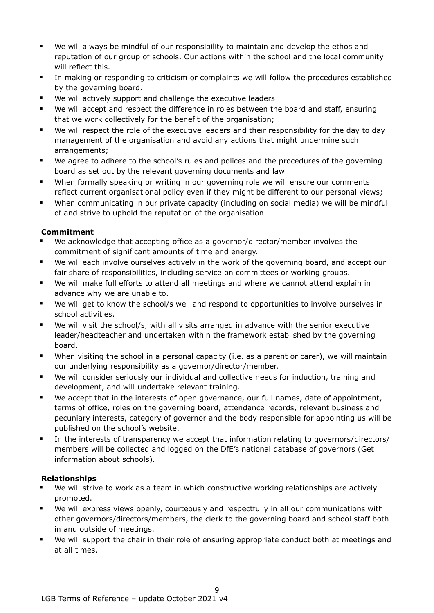- We will always be mindful of our responsibility to maintain and develop the ethos and reputation of our group of schools. Our actions within the school and the local community will reflect this.
- In making or responding to criticism or complaints we will follow the procedures established by the governing board.
- We will actively support and challenge the executive leaders
- We will accept and respect the difference in roles between the board and staff, ensuring that we work collectively for the benefit of the organisation;
- We will respect the role of the executive leaders and their responsibility for the day to day management of the organisation and avoid any actions that might undermine such arrangements;
- We agree to adhere to the school's rules and polices and the procedures of the governing board as set out by the relevant governing documents and law
- When formally speaking or writing in our governing role we will ensure our comments reflect current organisational policy even if they might be different to our personal views;
- When communicating in our private capacity (including on social media) we will be mindful of and strive to uphold the reputation of the organisation

## **Commitment**

- We acknowledge that accepting office as a governor/director/member involves the commitment of significant amounts of time and energy.
- We will each involve ourselves actively in the work of the governing board, and accept our fair share of responsibilities, including service on committees or working groups.
- We will make full efforts to attend all meetings and where we cannot attend explain in advance why we are unable to.
- We will get to know the school/s well and respond to opportunities to involve ourselves in school activities.
- We will visit the school/s, with all visits arranged in advance with the senior executive leader/headteacher and undertaken within the framework established by the governing board.
- When visiting the school in a personal capacity (i.e. as a parent or carer), we will maintain our underlying responsibility as a governor/director/member.
- We will consider seriously our individual and collective needs for induction, training and development, and will undertake relevant training.
- We accept that in the interests of open governance, our full names, date of appointment, terms of office, roles on the governing board, attendance records, relevant business and pecuniary interests, category of governor and the body responsible for appointing us will be published on the school's website.
- In the interests of transparency we accept that information relating to governors/directors/ members will be collected and logged on the DfE's national database of governors (Get information about schools).

## **Relationships**

- We will strive to work as a team in which constructive working relationships are actively promoted.
- We will express views openly, courteously and respectfully in all our communications with other governors/directors/members, the clerk to the governing board and school staff both in and outside of meetings.
- We will support the chair in their role of ensuring appropriate conduct both at meetings and at all times.

9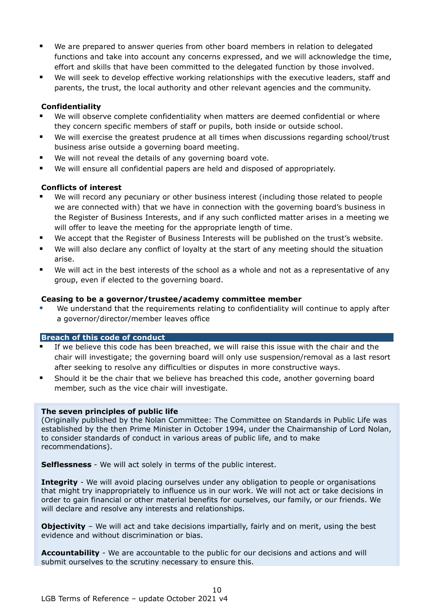- We are prepared to answer queries from other board members in relation to delegated functions and take into account any concerns expressed, and we will acknowledge the time, effort and skills that have been committed to the delegated function by those involved.
- We will seek to develop effective working relationships with the executive leaders, staff and parents, the trust, the local authority and other relevant agencies and the community.

## **Confidentiality**

- We will observe complete confidentiality when matters are deemed confidential or where they concern specific members of staff or pupils, both inside or outside school.
- We will exercise the greatest prudence at all times when discussions regarding school/trust business arise outside a governing board meeting.
- We will not reveal the details of any governing board vote.
- We will ensure all confidential papers are held and disposed of appropriately.

## **Conflicts of interest**

- We will record any pecuniary or other business interest (including those related to people we are connected with) that we have in connection with the governing board's business in the Register of Business Interests, and if any such conflicted matter arises in a meeting we will offer to leave the meeting for the appropriate length of time.
- We accept that the Register of Business Interests will be published on the trust's website.
- We will also declare any conflict of loyalty at the start of any meeting should the situation arise.
- We will act in the best interests of the school as a whole and not as a representative of any group, even if elected to the governing board.

## **Ceasing to be a governor/trustee/academy committee member**

We understand that the requirements relating to confidentiality will continue to apply after a governor/director/member leaves office

## **Breach of this code of conduct**

- If we believe this code has been breached, we will raise this issue with the chair and the chair will investigate; the governing board will only use suspension/removal as a last resort after seeking to resolve any difficulties or disputes in more constructive ways.
- Should it be the chair that we believe has breached this code, another governing board member, such as the vice chair will investigate.

## **The seven principles of public life**

(Originally published by the Nolan Committee: The Committee on Standards in Public Life was established by the then Prime Minister in October 1994, under the Chairmanship of Lord Nolan, to consider standards of conduct in various areas of public life, and to make recommendations).

**Selflessness** - We will act solely in terms of the public interest.

**Integrity** - We will avoid placing ourselves under any obligation to people or organisations that might try inappropriately to influence us in our work. We will not act or take decisions in order to gain financial or other material benefits for ourselves, our family, or our friends. We will declare and resolve any interests and relationships.

**Objectivity** - We will act and take decisions impartially, fairly and on merit, using the best evidence and without discrimination or bias.

**Accountability** - We are accountable to the public for our decisions and actions and will submit ourselves to the scrutiny necessary to ensure this.